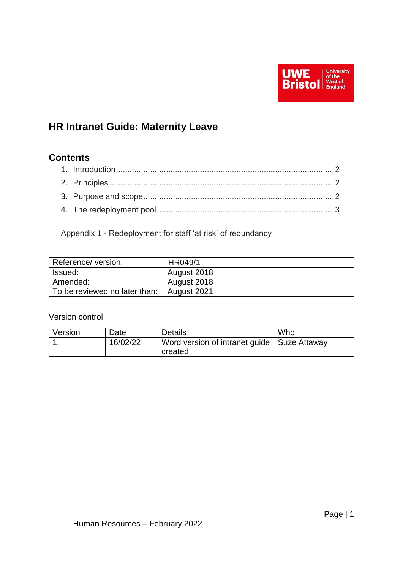

# **HR Intranet Guide: Maternity Leave**

## **Contents**

Appendix 1 - Redeployment for staff 'at risk' of redundancy

| Reference/ version:           | HR049/1     |
|-------------------------------|-------------|
| Issued:                       | August 2018 |
| Amended:                      | August 2018 |
| To be reviewed no later than: | August 2021 |

## Version control

| Version | Date     | <b>Details</b>                                | Who |
|---------|----------|-----------------------------------------------|-----|
|         | 16/02/22 | Word version of intranet guide   Suze Attaway |     |
|         |          | created                                       |     |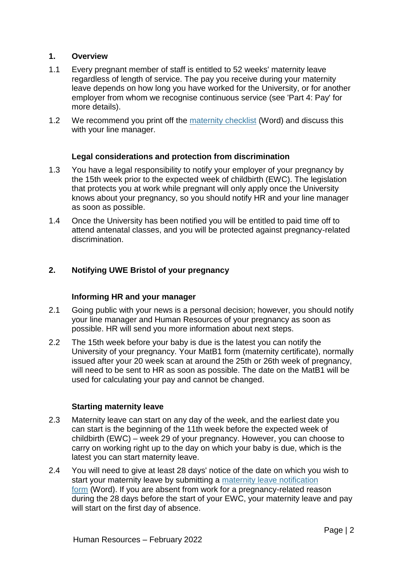#### **1. Overview**

- 1.1 Every pregnant member of staff is entitled to 52 weeks' maternity leave regardless of length of service. The pay you receive during your maternity leave depends on how long you have worked for the University, or for another employer from whom we recognise continuous service (see 'Part 4: Pay' for more details).
- 1.2 We recommend you print off the [maternity checklist](https://docs.uwe.ac.uk/ou/hr/_layouts/15/download.aspx?SourceUrl=https://docs.uwe.ac.uk/ou/hr/IntranetContent/Maternity%20checklist.docx) (Word) and discuss this with your line manager.

## **Legal considerations and protection from discrimination**

- 1.3 You have a legal responsibility to notify your employer of your pregnancy by the 15th week prior to the expected week of childbirth (EWC). The legislation that protects you at work while pregnant will only apply once the University knows about your pregnancy, so you should notify HR and your line manager as soon as possible.
- 1.4 Once the University has been notified you will be entitled to paid time off to attend antenatal classes, and you will be protected against pregnancy-related discrimination.

## **2. Notifying UWE Bristol of your pregnancy**

#### **Informing HR and your manager**

- 2.1 Going public with your news is a personal decision; however, you should notify your line manager and Human Resources of your pregnancy as soon as possible. HR will send you more information about next steps.
- 2.2 The 15th week before your baby is due is the latest you can notify the University of your pregnancy. Your MatB1 form (maternity certificate), normally issued after your 20 week scan at around the 25th or 26th week of pregnancy, will need to be sent to HR as soon as possible. The date on the MatB1 will be used for calculating your pay and cannot be changed.

#### **Starting maternity leave**

- 2.3 Maternity leave can start on any day of the week, and the earliest date you can start is the beginning of the 11th week before the expected week of childbirth (EWC) – week 29 of your pregnancy. However, you can choose to carry on working right up to the day on which your baby is due, which is the latest you can start maternity leave.
- 2.4 You will need to give at least 28 days' notice of the date on which you wish to start your maternity leave by submitting a [maternity leave notification](https://docs.uwe.ac.uk/ou/hr/_layouts/15/download.aspx?SourceUrl=https://docs.uwe.ac.uk/ou/hr/IntranetContent/Maternity%20Leave%20Notification%20Form.docx)  [form](https://docs.uwe.ac.uk/ou/hr/_layouts/15/download.aspx?SourceUrl=https://docs.uwe.ac.uk/ou/hr/IntranetContent/Maternity%20Leave%20Notification%20Form.docx) (Word). If you are absent from work for a pregnancy-related reason during the 28 days before the start of your EWC, your maternity leave and pay will start on the first day of absence.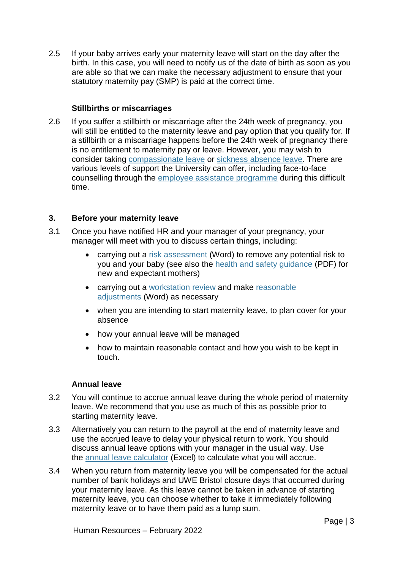2.5 If your baby arrives early your maternity leave will start on the day after the birth. In this case, you will need to notify us of the date of birth as soon as you are able so that we can make the necessary adjustment to ensure that your statutory maternity pay (SMP) is paid at the correct time.

## **Stillbirths or miscarriages**

2.6 If you suffer a stillbirth or miscarriage after the 24th week of pregnancy, you will still be entitled to the maternity leave and pay option that you qualify for. If a stillbirth or a miscarriage happens before the 24th week of pregnancy there is no entitlement to maternity pay or leave. However, you may wish to consider taking [compassionate leave](https://intranet.uwe.ac.uk/tasks-guides/Guide/Compassionate-leave) or [sickness absence leave.](https://intranet.uwe.ac.uk/tasks-guides/Collection/Sickness-absence) There are various levels of support the University can offer, including face-to-face counselling through the [employee assistance programme](https://intranet.uwe.ac.uk/tasks-guides/Guide/employee-assistance-programme) during this difficult time.

## **3. Before your maternity leave**

- 3.1 Once you have notified HR and your manager of your pregnancy, your manager will meet with you to discuss certain things, including:
	- carrying out a [risk assessment](https://docs.uwe.ac.uk/sites/health-and-safety/_layouts/15/download.aspx?SourceUrl=https://docs.uwe.ac.uk/sites/health-and-safety/Documents/HSS14_General_RA_Form_2016.docx) (Word) to remove any potential risk to you and your baby (see also the [health and safety guidance](https://docs.uwe.ac.uk/sites/health-and-safety/Documents/G005_New%20and%20Expectant%20Mothers%202015.pdf) (PDF) for new and expectant mothers)
	- carrying out a [workstation review](https://intranet.uwe.ac.uk/tasks-guides/Guide/display-screen-equipment) and make reasonable [adjustments](https://docs.uwe.ac.uk/ou/hr/_layouts/15/download.aspx?SourceUrl=https://docs.uwe.ac.uk/ou/hr/IntranetContent/Reasonable%20Adjustments%20policy%20FINAL%20April%202015.docx) (Word) as necessary
	- when you are intending to start maternity leave, to plan cover for your absence
	- how your annual leave will be managed
	- how to maintain reasonable contact and how you wish to be kept in touch.

#### **Annual leave**

- 3.2 You will continue to accrue annual leave during the whole period of maternity leave. We recommend that you use as much of this as possible prior to starting maternity leave.
- 3.3 Alternatively you can return to the payroll at the end of maternity leave and use the accrued leave to delay your physical return to work. You should discuss annual leave options with your manager in the usual way. Use the [annual leave calculator](https://docs.uwe.ac.uk/ou/hr/_layouts/15/download.aspx?SourceUrl=https://docs.uwe.ac.uk/ou/hr/IntranetContent/Online%20annual%20leave%20calculator.xlsx) (Excel) to calculate what you will accrue.
- 3.4 When you return from maternity leave you will be compensated for the actual number of bank holidays and UWE Bristol closure days that occurred during your maternity leave. As this leave cannot be taken in advance of starting maternity leave, you can choose whether to take it immediately following maternity leave or to have them paid as a lump sum.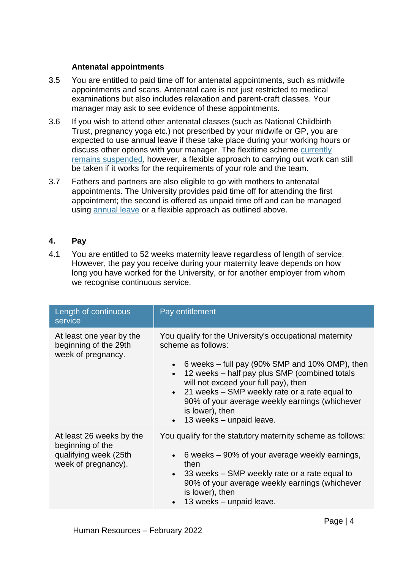#### **Antenatal appointments**

- 3.5 You are entitled to paid time off for antenatal appointments, such as midwife appointments and scans. Antenatal care is not just restricted to medical examinations but also includes relaxation and parent-craft classes. Your manager may ask to see evidence of these appointments.
- 3.6 If you wish to attend other antenatal classes (such as National Childbirth Trust, pregnancy yoga etc.) not prescribed by your midwife or GP, you are expected to use annual leave if these take place during your working hours or discuss other options with your manager. The flexitime scheme [currently](https://intranet.uwe.ac.uk/tasks-guides/Guide/Covid-19-and-managing-people#part2)  [remains suspended,](https://intranet.uwe.ac.uk/tasks-guides/Guide/Covid-19-and-managing-people#part2) however, a flexible approach to carrying out work can still be taken if it works for the requirements of your role and the team.
- 3.7 Fathers and partners are also eligible to go with mothers to antenatal appointments. The University provides paid time off for attending the first appointment; the second is offered as unpaid time off and can be managed using [annual leave](https://intranet.uwe.ac.uk/tasks-guides/Guide/Annual-leave) or a flexible approach as outlined above.

## **4. Pay**

4.1 You are entitled to 52 weeks maternity leave regardless of length of service. However, the pay you receive during your maternity leave depends on how long you have worked for the University, or for another employer from whom we recognise continuous service.

| Length of continuous<br>service                                                              | Pay entitlement                                                                                                                                                                                                                                                                                                                                                                           |
|----------------------------------------------------------------------------------------------|-------------------------------------------------------------------------------------------------------------------------------------------------------------------------------------------------------------------------------------------------------------------------------------------------------------------------------------------------------------------------------------------|
| At least one year by the<br>beginning of the 29th<br>week of pregnancy.                      | You qualify for the University's occupational maternity<br>scheme as follows:<br>6 weeks – full pay (90% SMP and 10% OMP), then<br>12 weeks - half pay plus SMP (combined totals<br>will not exceed your full pay), then<br>• 21 weeks – SMP weekly rate or a rate equal to<br>90% of your average weekly earnings (whichever<br>is lower), then<br>13 weeks - unpaid leave.<br>$\bullet$ |
| At least 26 weeks by the<br>beginning of the<br>qualifying week (25th<br>week of pregnancy). | You qualify for the statutory maternity scheme as follows:<br>• 6 weeks $-90\%$ of your average weekly earnings,<br>then<br>$\bullet$ 33 weeks – SMP weekly rate or a rate equal to<br>90% of your average weekly earnings (whichever<br>is lower), then<br>13 weeks - unpaid leave.<br>$\bullet$                                                                                         |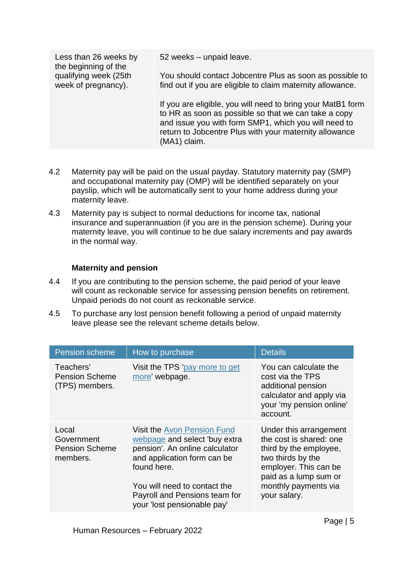| Less than 26 weeks by<br>the beginning of the | 52 weeks - unpaid leave.                                                                                                                                                                                                                              |
|-----------------------------------------------|-------------------------------------------------------------------------------------------------------------------------------------------------------------------------------------------------------------------------------------------------------|
| qualifying week (25th<br>week of pregnancy).  | You should contact Jobcentre Plus as soon as possible to<br>find out if you are eligible to claim maternity allowance.                                                                                                                                |
|                                               | If you are eligible, you will need to bring your MatB1 form<br>to HR as soon as possible so that we can take a copy<br>and issue you with form SMP1, which you will need to<br>return to Jobcentre Plus with your maternity allowance<br>(MA1) claim. |

- 4.2 Maternity pay will be paid on the usual payday. Statutory maternity pay (SMP) and occupational maternity pay (OMP) will be identified separately on your payslip, which will be automatically sent to your home address during your maternity leave.
- 4.3 Maternity pay is subject to normal deductions for income tax, national insurance and superannuation (if you are in the pension scheme). During your maternity leave, you will continue to be due salary increments and pay awards in the normal way.

## **Maternity and pension**

- 4.4 If you are contributing to the pension scheme, the paid period of your leave will count as reckonable service for assessing pension benefits on retirement. Unpaid periods do not count as reckonable service.
- 4.5 To purchase any lost pension benefit following a period of unpaid maternity leave please see the relevant scheme details below.

| <b>Pension scheme</b>                                    | How to purchase                                                                                                                                                                                                                                     | <b>Details</b>                                                                                                                                                                             |
|----------------------------------------------------------|-----------------------------------------------------------------------------------------------------------------------------------------------------------------------------------------------------------------------------------------------------|--------------------------------------------------------------------------------------------------------------------------------------------------------------------------------------------|
| Teachers'<br><b>Pension Scheme</b><br>(TPS) members.     | Visit the TPS 'pay more to get<br>more' webpage.                                                                                                                                                                                                    | You can calculate the<br>cost via the TPS<br>additional pension<br>calculator and apply via<br>your 'my pension online'<br>account.                                                        |
| Local<br>Government<br><b>Pension Scheme</b><br>members. | <b>Visit the Avon Pension Fund</b><br>webpage and select 'buy extra<br>pension'. An online calculator<br>and application form can be<br>found here.<br>You will need to contact the<br>Payroll and Pensions team for<br>your 'lost pensionable pay' | Under this arrangement<br>the cost is shared: one<br>third by the employee,<br>two thirds by the<br>employer. This can be<br>paid as a lump sum or<br>monthly payments via<br>your salary. |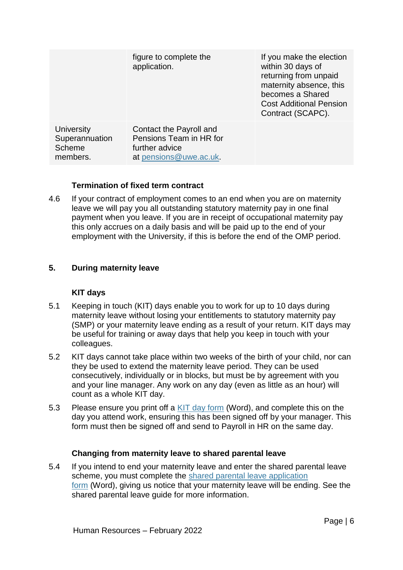|                                                    | figure to complete the<br>application.                                                         | If you make the election<br>within 30 days of<br>returning from unpaid<br>maternity absence, this<br>becomes a Shared<br><b>Cost Additional Pension</b><br>Contract (SCAPC). |
|----------------------------------------------------|------------------------------------------------------------------------------------------------|------------------------------------------------------------------------------------------------------------------------------------------------------------------------------|
| University<br>Superannuation<br>Scheme<br>members. | Contact the Payroll and<br>Pensions Team in HR for<br>further advice<br>at pensions@uwe.ac.uk. |                                                                                                                                                                              |

## **Termination of fixed term contract**

4.6 If your contract of employment comes to an end when you are on maternity leave we will pay you all outstanding statutory maternity pay in one final payment when you leave. If you are in receipt of occupational maternity pay this only accrues on a daily basis and will be paid up to the end of your employment with the University, if this is before the end of the OMP period.

## **5. During maternity leave**

#### **KIT days**

- 5.1 Keeping in touch (KIT) days enable you to work for up to 10 days during maternity leave without losing your entitlements to statutory maternity pay (SMP) or your maternity leave ending as a result of your return. KIT days may be useful for training or away days that help you keep in touch with your colleagues.
- 5.2 KIT days cannot take place within two weeks of the birth of your child, nor can they be used to extend the maternity leave period. They can be used consecutively, individually or in blocks, but must be by agreement with you and your line manager. Any work on any day (even as little as an hour) will count as a whole KIT day.
- 5.3 Please ensure you print off a [KIT day form](https://docs.uwe.ac.uk/ou/hr/_layouts/15/download.aspx?SourceUrl=https://docs.uwe.ac.uk/ou/hr/IntranetContent/Maternity%20-%20keeping%20in%20touch%20claim%20form.docx) (Word), and complete this on the day you attend work, ensuring this has been signed off by your manager. This form must then be signed off and send to Payroll in HR on the same day.

## **Changing from maternity leave to shared parental leave**

5.4 If you intend to end your maternity leave and enter the shared parental leave scheme, you must complete the [shared parental leave application](https://docs.uwe.ac.uk/ou/hr/_layouts/15/download.aspx?SourceUrl=https://docs.uwe.ac.uk/ou/hr/IntranetContent/SPL%20Application%20Form%20%28mother-primary%20adoptor%29.docx)  [form](https://docs.uwe.ac.uk/ou/hr/_layouts/15/download.aspx?SourceUrl=https://docs.uwe.ac.uk/ou/hr/IntranetContent/SPL%20Application%20Form%20%28mother-primary%20adoptor%29.docx) (Word), giving us notice that your maternity leave will be ending. See the shared parental leave guide for more information.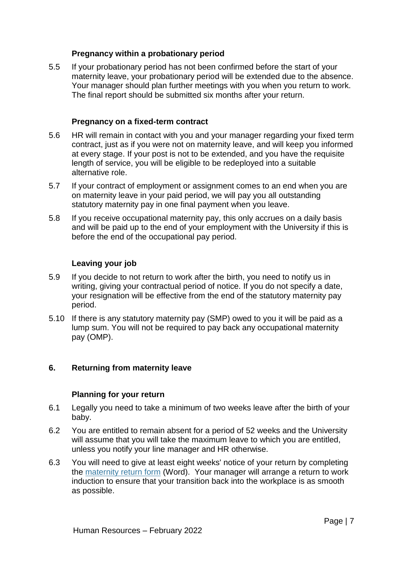#### **Pregnancy within a probationary period**

5.5 If your probationary period has not been confirmed before the start of your maternity leave, your probationary period will be extended due to the absence. Your manager should plan further meetings with you when you return to work. The final report should be submitted six months after your return.

## **Pregnancy on a fixed-term contract**

- 5.6 HR will remain in contact with you and your manager regarding your fixed term contract, just as if you were not on maternity leave, and will keep you informed at every stage. If your post is not to be extended, and you have the requisite length of service, you will be eligible to be redeployed into a suitable alternative role.
- 5.7 If your contract of employment or assignment comes to an end when you are on maternity leave in your paid period, we will pay you all outstanding statutory maternity pay in one final payment when you leave.
- 5.8 If you receive occupational maternity pay, this only accrues on a daily basis and will be paid up to the end of your employment with the University if this is before the end of the occupational pay period.

## **Leaving your job**

- 5.9 If you decide to not return to work after the birth, you need to notify us in writing, giving your contractual period of notice. If you do not specify a date, your resignation will be effective from the end of the statutory maternity pay period.
- 5.10 If there is any statutory maternity pay (SMP) owed to you it will be paid as a lump sum. You will not be required to pay back any occupational maternity pay (OMP).

#### **6. Returning from maternity leave**

#### **Planning for your return**

- 6.1 Legally you need to take a minimum of two weeks leave after the birth of your baby.
- 6.2 You are entitled to remain absent for a period of 52 weeks and the University will assume that you will take the maximum leave to which you are entitled, unless you notify your line manager and HR otherwise.
- 6.3 You will need to give at least eight weeks' notice of your return by completing the [maternity return form](https://docs.uwe.ac.uk/ou/hr/_layouts/15/download.aspx?SourceUrl=https://docs.uwe.ac.uk/ou/hr/IntranetContent/Maternity%20Return%20Form.docx) (Word). Your manager will arrange a return to work induction to ensure that your transition back into the workplace is as smooth as possible.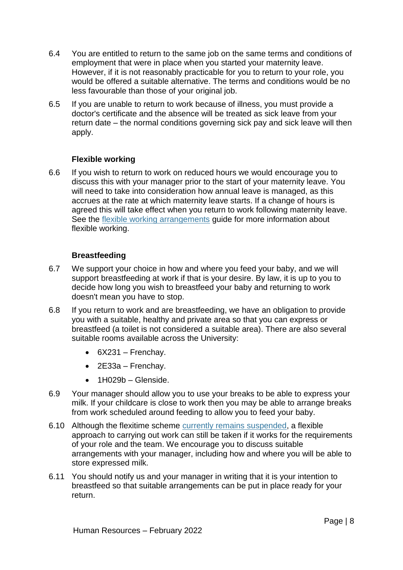- 6.4 You are entitled to return to the same job on the same terms and conditions of employment that were in place when you started your maternity leave. However, if it is not reasonably practicable for you to return to your role, you would be offered a suitable alternative. The terms and conditions would be no less favourable than those of your original job.
- 6.5 If you are unable to return to work because of illness, you must provide a doctor's certificate and the absence will be treated as sick leave from your return date – the normal conditions governing sick pay and sick leave will then apply.

## **Flexible working**

6.6 If you wish to return to work on reduced hours we would encourage you to discuss this with your manager prior to the start of your maternity leave. You will need to take into consideration how annual leave is managed, as this accrues at the rate at which maternity leave starts. If a change of hours is agreed this will take effect when you return to work following maternity leave. See the [flexible working arrangements](https://intranet.uwe.ac.uk/tasks-guides/Guide/Flexible-working-arrangements) guide for more information about flexible working.

## **Breastfeeding**

- 6.7 We support your choice in how and where you feed your baby, and we will support breastfeeding at work if that is your desire. By law, it is up to you to decide how long you wish to breastfeed your baby and returning to work doesn't mean you have to stop.
- 6.8 If you return to work and are breastfeeding, we have an obligation to provide you with a suitable, healthy and private area so that you can express or breastfeed (a toilet is not considered a suitable area). There are also several suitable rooms available across the University:
	- $-6X231$  Frenchav.
	- $\bullet$  2E33a Frenchay.
	- $-1H029b Glenside.$
- 6.9 Your manager should allow you to use your breaks to be able to express your milk. If your childcare is close to work then you may be able to arrange breaks from work scheduled around feeding to allow you to feed your baby.
- 6.10 Although the flexitime scheme [currently remains suspended,](https://intranet.uwe.ac.uk/tasks-guides/Guide/Covid-19-and-managing-people#part2) a flexible approach to carrying out work can still be taken if it works for the requirements of your role and the team. We encourage you to discuss suitable arrangements with your manager, including how and where you will be able to store expressed milk.
- 6.11 You should notify us and your manager in writing that it is your intention to breastfeed so that suitable arrangements can be put in place ready for your return.